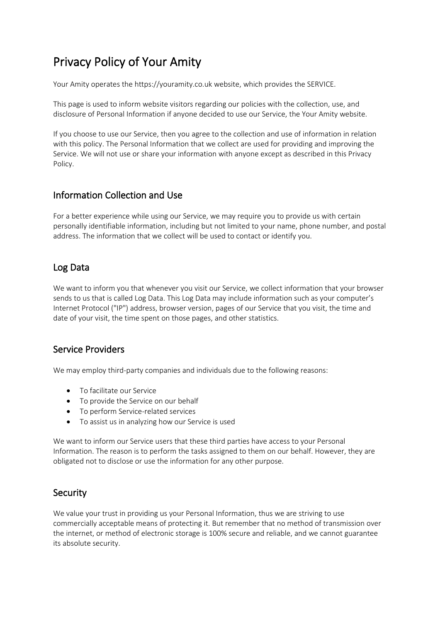# Privacy Policy of Your Amity

Your Amity operates the https://youramity.co.uk website, which provides the SERVICE.

This page is used to inform website visitors regarding our policies with the collection, use, and disclosure of Personal Information if anyone decided to use our Service, the Your Amity website.

If you choose to use our Service, then you agree to the collection and use of information in relation with this policy. The Personal Information that we collect are used for providing and improving the Service. We will not use or share your information with anyone except as described in this Privacy Policy.

### Information Collection and Use

For a better experience while using our Service, we may require you to provide us with certain personally identifiable information, including but not limited to your name, phone number, and postal address. The information that we collect will be used to contact or identify you.

## Log Data

We want to inform you that whenever you visit our Service, we collect information that your browser sends to us that is called Log Data. This Log Data may include information such as your computer's Internet Protocol ("IP") address, browser version, pages of our Service that you visit, the time and date of your visit, the time spent on those pages, and other statistics.

#### Service Providers

We may employ third-party companies and individuals due to the following reasons:

- To facilitate our Service
- To provide the Service on our behalf
- To perform Service-related services
- To assist us in analyzing how our Service is used

We want to inform our Service users that these third parties have access to your Personal Information. The reason is to perform the tasks assigned to them on our behalf. However, they are obligated not to disclose or use the information for any other purpose.

#### **Security**

We value your trust in providing us your Personal Information, thus we are striving to use commercially acceptable means of protecting it. But remember that no method of transmission over the internet, or method of electronic storage is 100% secure and reliable, and we cannot guarantee its absolute security.